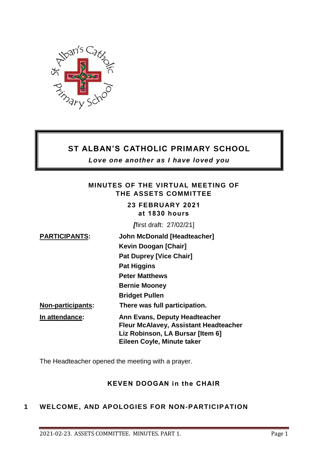

# **ST ALBAN'S CATHOLIC PRIMARY SCHOOL**

*Love one another as I have loved you*

### **MINUTES OF THE VIRTUAL MEETING OF THE ASSETS COMMITTEE**

**23 FEBRUARY 2021 at 1830 hours** 

*[*first draft: 27/02/21]

| <b>PARTICIPANTS:</b>     | <b>John McDonald [Headteacher]</b>           |
|--------------------------|----------------------------------------------|
|                          | Kevin Doogan [Chair]                         |
|                          | <b>Pat Duprey [Vice Chair]</b>               |
|                          | <b>Pat Higgins</b>                           |
|                          | <b>Peter Matthews</b>                        |
|                          | <b>Bernie Mooney</b>                         |
|                          | <b>Bridget Pullen</b>                        |
| <b>Non-participants:</b> | There was full participation.                |
| In attendance:           | Ann Evans, Deputy Headteacher                |
|                          | <b>Fleur McAlavey, Assistant Headteacher</b> |
|                          | Liz Robinson, LA Bursar [Item 6]             |
|                          | Eileen Coyle, Minute taker                   |

The Headteacher opened the meeting with a prayer.

# **KEVEN DOOGAN in the CHAIR**

# **1 WELCOME, AND APOLOGIES FOR NON-PARTICIPATION**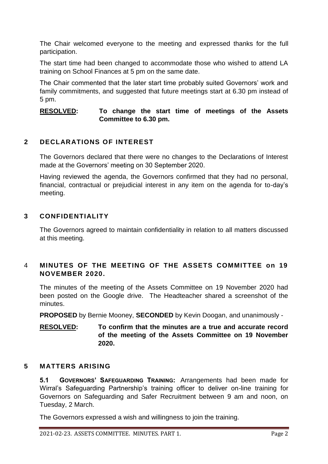The Chair welcomed everyone to the meeting and expressed thanks for the full participation.

The start time had been changed to accommodate those who wished to attend LA training on School Finances at 5 pm on the same date.

The Chair commented that the later start time probably suited Governors' work and family commitments, and suggested that future meetings start at 6.30 pm instead of 5 pm.

#### **RESOLVED: To change the start time of meetings of the Assets Committee to 6.30 pm.**

# **2 DECLARATIONS OF INTEREST**

The Governors declared that there were no changes to the Declarations of Interest made at the Governors' meeting on 30 September 2020.

Having reviewed the agenda, the Governors confirmed that they had no personal, financial, contractual or prejudicial interest in any item on the agenda for to-day's meeting.

### **3 CONFIDENTIALITY**

The Governors agreed to maintain confidentiality in relation to all matters discussed at this meeting.

# 4 **MINUTES OF THE MEETING OF THE ASSETS COMMITTEE on 19 NOVEMBER 2020.**

The minutes of the meeting of the Assets Committee on 19 November 2020 had been posted on the Google drive. The Headteacher shared a screenshot of the minutes.

**PROPOSED** by Bernie Mooney, **SECONDED** by Kevin Doogan, and unanimously -

#### **RESOLVED: To confirm that the minutes are a true and accurate record of the meeting of the Assets Committee on 19 November 2020.**

### **5 MATTERS ARISING**

**5.1 GOVERNORS' SAFEGUARDING TRAINING:** Arrangements had been made for Wirral's Safeguarding Partnership's training officer to deliver on-line training for Governors on Safeguarding and Safer Recruitment between 9 am and noon, on Tuesday, 2 March.

The Governors expressed a wish and willingness to join the training.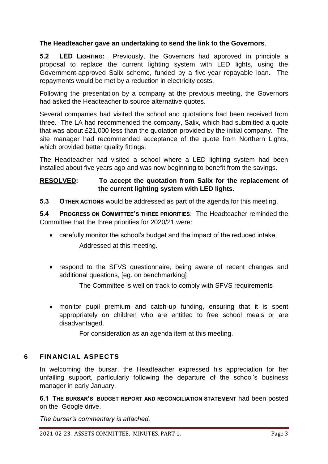### **The Headteacher gave an undertaking to send the link to the Governors**.

**5.2 LED LIGHTING:** Previously, the Governors had approved in principle a proposal to replace the current lighting system with LED lights, using the Government-approved Salix scheme, funded by a five-year repayable loan. The repayments would be met by a reduction in electricity costs.

Following the presentation by a company at the previous meeting, the Governors had asked the Headteacher to source alternative quotes.

Several companies had visited the school and quotations had been received from three. The LA had recommended the company, Salix, which had submitted a quote that was about £21,000 less than the quotation provided by the initial company. The site manager had recommended acceptance of the quote from Northern Lights, which provided better quality fittings.

The Headteacher had visited a school where a LED lighting system had been installed about five years ago and was now beginning to benefit from the savings.

### **RESOLVED: To accept the quotation from Salix for the replacement of the current lighting system with LED lights.**

**5.3 OTHER ACTIONS** would be addressed as part of the agenda for this meeting.

**5.4 PROGRESS ON COMMITTEE'S THREE PRIORITIES**: The Headteacher reminded the Committee that the three priorities for 2020/21 were:

- carefully monitor the school's budget and the impact of the reduced intake; Addressed at this meeting.
- respond to the SFVS questionnaire, being aware of recent changes and additional questions, [eg. on benchmarking]

The Committee is well on track to comply with SFVS requirements

 monitor pupil premium and catch-up funding, ensuring that it is spent appropriately on children who are entitled to free school meals or are disadvantaged.

For consideration as an agenda item at this meeting.

### **6 FINANCIAL ASPECTS**

In welcoming the bursar, the Headteacher expressed his appreciation for her unfailing support, particularly following the departure of the school's business manager in early January.

**6.1 THE BURSAR'S BUDGET REPORT AND RECONCILIATION STATEMENT** had been posted on the Google drive.

*The bursar's commentary is attached.*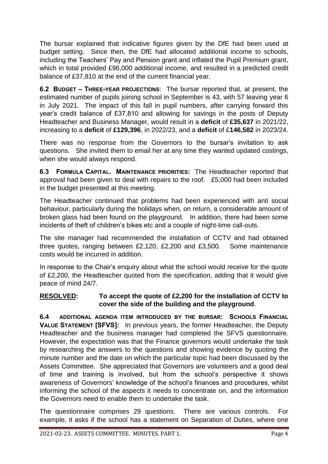The bursar explained that indicative figures given by the DfE had been used at budget setting. Since then, the DfE had allocated additional income to schools, including the Teachers' Pay and Pension grant and inflated the Pupil Premium grant, which in total provided £96,000 additional income, and resulted in a predicted credit balance of £37,810 at the end of the current financial year.

**6.2 BUDGET – THREE-YEAR PROJECTIONS**: The bursar reported that, at present, the estimated number of pupils joining school in September is 43, with 57 leaving year 6 in July 2021. The impact of this fall in pupil numbers, after carrying forward this year's credit balance of £37,810 and allowing for savings in the posts of Deputy Headteacher and Business Manager, would result in a **deficit** of **£35,637** in 2021/22, increasing to a **deficit** of **£129,396**, in 2022/23, and a **deficit** of £**146,582** in 2023/24.

There was no response from the Governors to the bursar's invitation to ask questions. She invited them to email her at any time they wanted updated costings, when she would always respond.

**6.3 FORMULA CAPITAL. MAINTENANCE PRIORITIES:** The Headteacher reported that approval had been given to deal with repairs to the roof. £5,000 had been included in the budget presented at this meeting.

The Headteacher continued that problems had been experienced with anti social behaviour, particularly during the holidays when, on return, a considerable amount of broken glass had been found on the playground. In addition, there had been some incidents of theft of children's bikes etc and a couple of night-time call-outs.

The site manager had recommended the installation of CCTV and had obtained three quotes, ranging between £2,120, £2,200 and £3,500. Some maintenance costs would be incurred in addition.

In response to the Chair's enquiry about what the school would receive for the quote of £2,200, the Headteacher quoted from the specification, adding that it would give peace of mind 24/7.

### **RESOLVED: To accept the quote of £2,200 for the installation of CCTV to cover the side of the building and the playground**.

**6.4 ADDITIONAL AGENDA ITEM INTRODUCED BY THE BURSAR: SCHOOLS FINANCIAL VALUE STATEMENT [SFVS]:** In previous years, the former Headteacher, the Deputy Headteacher and the business manager had completed the SFVS questionnaire. However, the expectation was that the Finance governors would undertake the task by researching the answers to the questions and showing evidence by quoting the minute number and the date on which the particular topic had been discussed by the Assets Committee. She appreciated that Governors are volunteers and a good deal of time and training is involved, but from the school's perspective it shows awareness of Governors' knowledge of the school's finances and procedures, whilst informing the school of the aspects it needs to concentrate on, and the information the Governors need to enable them to undertake the task.

The questionnaire comprises 29 questions. There are various controls. For example, it asks if the school has a statement on Separation of Duties, where one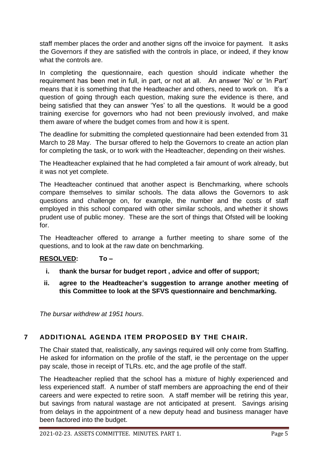staff member places the order and another signs off the invoice for payment. It asks the Governors if they are satisfied with the controls in place, or indeed, if they know what the controls are

In completing the questionnaire, each question should indicate whether the requirement has been met in full, in part, or not at all. An answer 'No' or 'In Part' means that it is something that the Headteacher and others, need to work on. It's a question of going through each question, making sure the evidence is there, and being satisfied that they can answer 'Yes' to all the questions. It would be a good training exercise for governors who had not been previously involved, and make them aware of where the budget comes from and how it is spent.

The deadline for submitting the completed questionnaire had been extended from 31 March to 28 May. The bursar offered to help the Governors to create an action plan for completing the task, or to work with the Headteacher, depending on their wishes.

The Headteacher explained that he had completed a fair amount of work already, but it was not yet complete.

The Headteacher continued that another aspect is Benchmarking, where schools compare themselves to similar schools. The data allows the Governors to ask questions and challenge on, for example, the number and the costs of staff employed in this school compared with other similar schools, and whether it shows prudent use of public money. These are the sort of things that Ofsted will be looking for.

The Headteacher offered to arrange a further meeting to share some of the questions, and to look at the raw date on benchmarking.

### **RESOLVED: To –**

- **i. thank the bursar for budget report , advice and offer of support;**
- **ii. agree to the Headteacher's suggestion to arrange another meeting of this Committee to look at the SFVS questionnaire and benchmarking.**

*The bursar withdrew at 1951 hours*.

# **7 ADDITIONAL AGENDA ITEM PROPOSED BY THE CHAIR.**

The Chair stated that, realistically, any savings required will only come from Staffing. He asked for information on the profile of the staff, ie the percentage on the upper pay scale, those in receipt of TLRs. etc, and the age profile of the staff.

The Headteacher replied that the school has a mixture of highly experienced and less experienced staff. A number of staff members are approaching the end of their careers and were expected to retire soon. A staff member will be retiring this year, but savings from natural wastage are not anticipated at present. Savings arising from delays in the appointment of a new deputy head and business manager have been factored into the budget.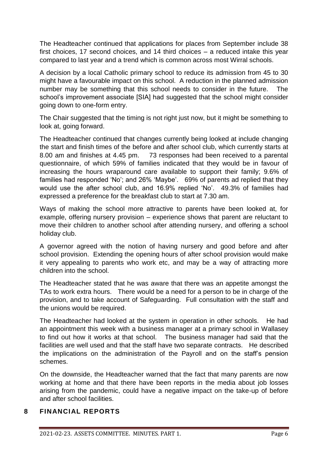The Headteacher continued that applications for places from September include 38 first choices, 17 second choices, and 14 third choices – a reduced intake this year compared to last year and a trend which is common across most Wirral schools.

A decision by a local Catholic primary school to reduce its admission from 45 to 30 might have a favourable impact on this school. A reduction in the planned admission number may be something that this school needs to consider in the future. The school's improvement associate [SIA] had suggested that the school might consider going down to one-form entry.

The Chair suggested that the timing is not right just now, but it might be something to look at, going forward.

The Headteacher continued that changes currently being looked at include changing the start and finish times of the before and after school club, which currently starts at 8.00 am and finishes at 4.45 pm. 73 responses had been received to a parental questionnaire, of which 59% of families indicated that they would be in favour of increasing the hours wraparound care available to support their family; 9.6% of families had responded 'No'; and 26% 'Maybe'. 69% of parents ad replied that they would use the after school club, and 16.9% replied 'No'. 49.3% of families had expressed a preference for the breakfast club to start at 7.30 am.

Ways of making the school more attractive to parents have been looked at, for example, offering nursery provision – experience shows that parent are reluctant to move their children to another school after attending nursery, and offering a school holiday club.

A governor agreed with the notion of having nursery and good before and after school provision. Extending the opening hours of after school provision would make it very appealing to parents who work etc, and may be a way of attracting more children into the school.

The Headteacher stated that he was aware that there was an appetite amongst the TAs to work extra hours. There would be a need for a person to be in charge of the provision, and to take account of Safeguarding. Full consultation with the staff and the unions would be required.

The Headteacher had looked at the system in operation in other schools. He had an appointment this week with a business manager at a primary school in Wallasey to find out how it works at that school. The business manager had said that the facilities are well used and that the staff have two separate contracts. He described the implications on the administration of the Payroll and on the staff's pension schemes.

On the downside, the Headteacher warned that the fact that many parents are now working at home and that there have been reports in the media about job losses arising from the pandemic, could have a negative impact on the take-up of before and after school facilities.

### **8 FINANCIAL REPORTS**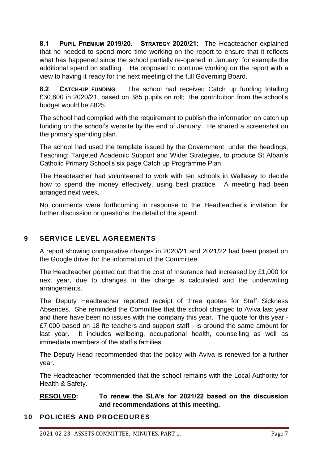**8.1 PUPIL PREMIUM 2019/20. STRATEGY 2020/21**: The Headteacher explained that he needed to spend more time working on the report to ensure that it reflects what has happened since the school partially re-opened in January, for example the additional spend on staffing. He proposed to continue working on the report with a view to having it ready for the next meeting of the full Governing Board.

**8.2 CATCH-UP FUNDING**: The school had received Catch up funding totalling £30,800 in 2020/21, based on 385 pupils on roll; the contribution from the school's budget would be £825.

The school had complied with the requirement to publish the information on catch up funding on the school's website by the end of January. He shared a screenshot on the primary spending plan.

The school had used the template issued by the Government, under the headings, Teaching; Targeted Academic Support and Wider Strategies, to produce St Alban's Catholic Primary School's six page Catch up Programme Plan.

The Headteacher had volunteered to work with ten schools in Wallasey to decide how to spend the money effectively, using best practice. A meeting had been arranged next week.

No comments were forthcoming in response to the Headteacher's invitation for further discussion or questions the detail of the spend.

# **9 SERVICE LEVEL AGREEMENTS**

A report showing comparative charges in 2020/21 and 2021/22 had been posted on the Google drive, for the information of the Committee.

The Headteacher pointed out that the cost of Insurance had increased by £1,000 for next year, due to changes in the charge is calculated and the underwriting arrangements.

The Deputy Headteacher reported receipt of three quotes for Staff Sickness Absences. She reminded the Committee that the school changed to Aviva last year and there have been no issues with the company this year. The quote for this year - £7,000 based on 18 fte teachers and support staff - is around the same amount for last year. It includes wellbeing, occupational health, counselling as well as immediate members of the staff's families.

The Deputy Head recommended that the policy with Aviva is renewed for a further year.

The Headteacher recommended that the school remains with the Local Authority for Health & Safety.

# **RESOLVED: To renew the SLA's for 2021/22 based on the discussion and recommendations at this meeting.**

# **10 POLICIES AND PROCEDURES**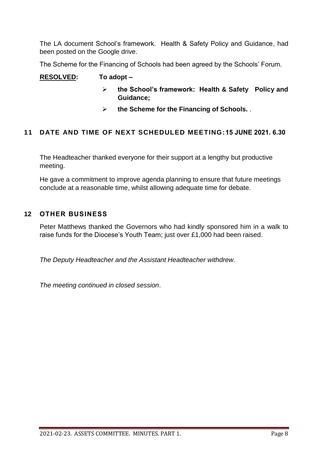The LA document School's framework. Health & Safety Policy and Guidance, had been posted on the Google drive.

The Scheme for the Financing of Schools had been agreed by the Schools' Forum.

### **RESOLVED: To adopt –**

- **the School's framework: Health & Safety Policy and Guidance;**
- **the Scheme for the Financing of Schools.** .

# **11 DATE AND TIME OF NEXT SCHEDULED MEETING:15 JUNE 2021. 6.30**

The Headteacher thanked everyone for their support at a lengthy but productive meeting.

He gave a commitment to improve agenda planning to ensure that future meetings conclude at a reasonable time, whilst allowing adequate time for debate.

### **12 OTHER BUSINESS**

Peter Matthews thanked the Governors who had kindly sponsored him in a walk to raise funds for the Diocese's Youth Team; just over £1,000 had been raised.

*The Deputy Headteacher and the Assistant Headteacher withdrew*.

*The meeting continued in closed session*.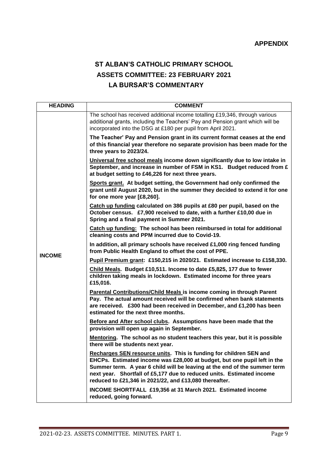#### **APPENDIX**

# **ST ALBAN'S CATHOLIC PRIMARY SCHOOL ASSETS COMMITTEE: 23 FEBRUARY 2021 LA BURSAR'S COMMENTARY**

| <b>HEADING</b> | <b>COMMENT</b>                                                                                                                                                                                                                                                                                                                                                 |  |  |  |  |
|----------------|----------------------------------------------------------------------------------------------------------------------------------------------------------------------------------------------------------------------------------------------------------------------------------------------------------------------------------------------------------------|--|--|--|--|
|                | The school has received additional income totalling £19,346, through various<br>additional grants, including the Teachers' Pay and Pension grant which will be<br>incorporated into the DSG at £180 per pupil from April 2021.                                                                                                                                 |  |  |  |  |
|                | The Teacher' Pay and Pension grant in its current format ceases at the end<br>of this financial year therefore no separate provision has been made for the<br>three years to 2023/24.                                                                                                                                                                          |  |  |  |  |
|                | Universal free school meals income down significantly due to low intake in<br>September, and increase in number of FSM in KS1. Budget reduced from £<br>at budget setting to £46,226 for next three years.                                                                                                                                                     |  |  |  |  |
|                | Sports grant. At budget setting, the Government had only confirmed the<br>grant until August 2020, but in the summer they decided to extend it for one<br>for one more year [£8,260].                                                                                                                                                                          |  |  |  |  |
|                | Catch up funding calculated on 386 pupils at £80 per pupil, based on the<br>October census. £7,900 received to date, with a further £10,00 due in<br>Spring and a final payment in Summer 2021.                                                                                                                                                                |  |  |  |  |
|                | Catch up funding: The school has been reimbursed in total for additional<br>cleaning costs and PPM incurred due to Covid-19.                                                                                                                                                                                                                                   |  |  |  |  |
| <b>INCOME</b>  | In addition, all primary schools have received £1,000 ring fenced funding<br>from Public Health England to offset the cost of PPE.                                                                                                                                                                                                                             |  |  |  |  |
|                | Pupil Premium grant: £150,215 in 2020/21. Estimated increase to £158,330.                                                                                                                                                                                                                                                                                      |  |  |  |  |
|                | Child Meals. Budget £10,511. Income to date £5,825, 177 due to fewer<br>children taking meals in lockdown. Estimated income for three years<br>£15,016.                                                                                                                                                                                                        |  |  |  |  |
|                | Parental Contributions/Child Meals is income coming in through Parent<br>Pay. The actual amount received will be confirmed when bank statements<br>are received. £300 had been received in December, and £1,200 has been<br>estimated for the next three months.                                                                                               |  |  |  |  |
|                | Before and After school clubs. Assumptions have been made that the<br>provision will open up again in September.                                                                                                                                                                                                                                               |  |  |  |  |
|                | Mentoring. The school as no student teachers this year, but it is possible<br>there will be students next year.                                                                                                                                                                                                                                                |  |  |  |  |
|                | Recharges SEN resource units. This is funding for children SEN and<br>EHCPs. Estimated income was £28,000 at budget, but one pupil left in the<br>Summer term. A year 6 child will be leaving at the end of the summer term<br>next year. Shortfall of £5,177 due to reduced units. Estimated income<br>reduced to £21,346 in 2021/22, and £13,080 thereafter. |  |  |  |  |
|                | INCOME SHORTFALL £19,356 at 31 March 2021. Estimated income<br>reduced, going forward.                                                                                                                                                                                                                                                                         |  |  |  |  |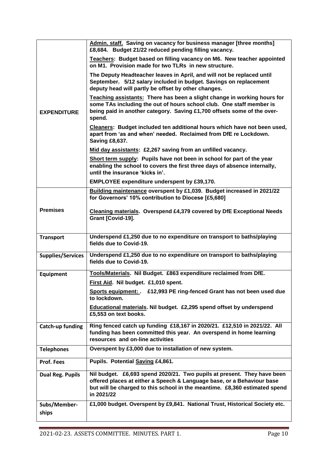|                          | Admin. staff. Saving on vacancy for business manager [three months]<br>£8,684. Budget 21/22 reduced pending filling vacancy.                                                                                                                  |
|--------------------------|-----------------------------------------------------------------------------------------------------------------------------------------------------------------------------------------------------------------------------------------------|
|                          | Teachers: Budget based on filling vacancy on M6. New teacher appointed<br>on M1. Provision made for two TLRs in new structure.                                                                                                                |
|                          | The Deputy Headteacher leaves in April, and will not be replaced until<br>September. 5/12 salary included in budget. Savings on replacement<br>deputy head will partly be offset by other changes.                                            |
| <b>EXPENDITURE</b>       | Teaching assistants: There has been a slight change in working hours for<br>some TAs including the out of hours school club. One staff member is<br>being paid in another category. Saving £1,700 offsets some of the over-<br>spend.         |
|                          | Cleaners: Budget included ten additional hours which have not been used,<br>apart from 'as and when' needed. Reclaimed from DfE re Lockdown.<br><b>Saving £8,637.</b>                                                                         |
|                          | Mid day assistants: £2,267 saving from an unfilled vacancy.                                                                                                                                                                                   |
|                          | Short term supply: Pupils have not been in school for part of the year<br>enabling the school to covers the first three days of absence internally,<br>until the insurance 'kicks in'.                                                        |
|                          | <b>EMPLOYEE expenditure underspent by £39,170.</b>                                                                                                                                                                                            |
|                          | Building maintenance overspent by £1,039. Budget increased in 2021/22<br>for Governors' 10% contribution to Diocese [£5,680]                                                                                                                  |
| <b>Premises</b>          | <b>Cleaning materials. Overspend £4,379 covered by DfE Exceptional Needs</b><br>Grant [Covid-19].                                                                                                                                             |
| <b>Transport</b>         | Underspend £1,250 due to no expenditure on transport to baths/playing                                                                                                                                                                         |
|                          | fields due to Covid-19.                                                                                                                                                                                                                       |
| <b>Supplies/Services</b> | Underspend £1,250 due to no expenditure on transport to baths/playing<br>fields due to Covid-19.                                                                                                                                              |
| <b>Equipment</b>         | Tools/Materials. Nil Budget. £863 expenditure reclaimed from DfE.                                                                                                                                                                             |
|                          | First Aid. Nil budget. £1,010 spent.                                                                                                                                                                                                          |
|                          | Sports equipment: . £12,993 PE ring-fenced Grant has not been used due<br>to lockdown.                                                                                                                                                        |
|                          | Educational materials. Nil budget. £2,295 spend offset by underspend<br>£5,553 on text books.                                                                                                                                                 |
| Catch-up funding         | Ring fenced catch up funding £18,167 in 2020/21. £12,510 in 2021/22. All<br>funding has been committed this year. An overspend in home learning<br>resources and on-line activities                                                           |
| <b>Telephones</b>        | Overspent by £3,000 due to installation of new system.                                                                                                                                                                                        |
| <b>Prof. Fees</b>        | Pupils. Potential Saving £4,861.                                                                                                                                                                                                              |
| <b>Dual Reg. Pupils</b>  | Nil budget. £6,693 spend 2020/21. Two pupils at present. They have been<br>offered places at either a Speech & Language base, or a Behaviour base<br>but will be charged to this school in the meantime. £8,360 estimated spend<br>in 2021/22 |
| Subs/Member-<br>ships    | £1,000 budget. Overspent by £9,841. National Trust, Historical Society etc.                                                                                                                                                                   |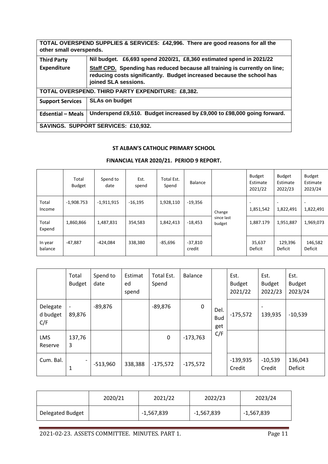**TOTAL OVERSPEND SUPPLIES & SERVICES: £42,996. There are good reasons for all the other small overspends. Third Party Expenditure Nil budget. £6,693 spend 2020/21, £8,360 estimated spend in 2021/22 Staff CPD. Spending has reduced because all training is currently on line; reducing costs significantly. Budget increased because the school has joined SLA sessions. TOTAL OVERSPEND. THIRD PARTY EXPENDITURE: £8,382. Support Services SLAs on budget Edsential – Meals Underspend £9,510. Budget increased by £9,000 to £98,000 going forward. SAVINGS. SUPPORT SERVICES: £10,932.** 

#### **ST ALBAN'S CATHOLIC PRIMARY SCHOOL**

#### **FINANCIAL YEAR 2020/21. PERIOD 9 REPORT.**

|                    | Total<br><b>Budget</b> | Spend to<br>date | Est.<br>spend | Total Est.<br>Spend | <b>Balance</b>      |                      | <b>Budget</b><br>Estimate<br>2021/22 | <b>Budget</b><br>Estimate<br>2022/23 | <b>Budget</b><br>Estimate<br>2023/24 |
|--------------------|------------------------|------------------|---------------|---------------------|---------------------|----------------------|--------------------------------------|--------------------------------------|--------------------------------------|
| Total<br>Income    | $-1,908.753$           | $-1,911,915$     | $-16,195$     | 1,928,110           | $-19,356$           | Change               | 1,851,542                            | 1,822,491                            | 1,822,491                            |
| Total<br>Expend    | 1,860,866              | 1,487,831        | 354,583       | 1,842,413           | $-18,453$           | since last<br>budget | 1,887.179                            | 1,951,887                            | 1,969,073                            |
| In year<br>balance | -47,887                | -424,084         | 338,380       | -85,696             | $-37,810$<br>credit |                      | 35,637<br>Deficit                    | 129,396<br>Deficit                   | 146,582<br>Deficit                   |

|                             | Total<br><b>Budget</b>        | Spend to<br>date | Estimat<br>ed<br>spend | Total Est.<br>Spend | <b>Balance</b> |                           | Est.<br><b>Budget</b><br>2021/22 | Est.<br><b>Budget</b><br>2022/23 | Est.<br><b>Budget</b><br>2023/24 |
|-----------------------------|-------------------------------|------------------|------------------------|---------------------|----------------|---------------------------|----------------------------------|----------------------------------|----------------------------------|
| Delegate<br>d budget<br>C/F | 89,876                        | $-89,876$        |                        | $-89,876$           | 0              | Del.<br><b>Bud</b><br>get | $-175,572$                       | ٠<br>139,935                     | $-10,539$                        |
| <b>LMS</b><br>Reserve       | 137,76<br>3                   |                  |                        | $\pmb{0}$           | $-173,763$     | C/F                       |                                  |                                  |                                  |
| Cum. Bal.                   | $\overline{\phantom{0}}$<br>1 | $-513,960$       | 338,388                | $-175,572$          | $-175,572$     |                           | $-139,935$<br>Credit             | $-10,539$<br>Credit              | 136,043<br>Deficit               |

|                  | 2020/21 | 2021/22      | 2022/23    | 2023/24      |
|------------------|---------|--------------|------------|--------------|
| Delegated Budget |         | $-1,567,839$ | -1,567,839 | $-1,567,839$ |

2021-02-23. ASSETS COMMITTEE. MINUTES. PART 1. Page 11